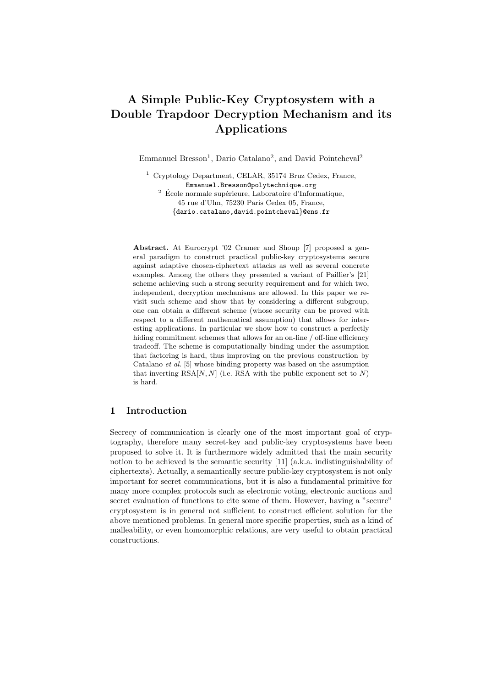# A Simple Public-Key Cryptosystem with a Double Trapdoor Decryption Mechanism and its Applications

Emmanuel Bresson<sup>1</sup>, Dario Catalano<sup>2</sup>, and David Pointcheval<sup>2</sup>

<sup>1</sup> Cryptology Department, CELAR, 35174 Bruz Cedex, France, Emmanuel.Bresson@polytechnique.org  $2 \n\t\leq C$  Ecole normale supérieure, Laboratoire d'Informatique, 45 rue d'Ulm, 75230 Paris Cedex 05, France, {dario.catalano,david.pointcheval}@ens.fr

Abstract. At Eurocrypt '02 Cramer and Shoup [7] proposed a general paradigm to construct practical public-key cryptosystems secure against adaptive chosen-ciphertext attacks as well as several concrete examples. Among the others they presented a variant of Paillier's [21] scheme achieving such a strong security requirement and for which two, independent, decryption mechanisms are allowed. In this paper we revisit such scheme and show that by considering a different subgroup, one can obtain a different scheme (whose security can be proved with respect to a different mathematical assumption) that allows for interesting applications. In particular we show how to construct a perfectly hiding commitment schemes that allows for an on-line / off-line efficiency tradeoff. The scheme is computationally binding under the assumption that factoring is hard, thus improving on the previous construction by Catalano et al. [5] whose binding property was based on the assumption that inverting  $RSA[N, N]$  (i.e. RSA with the public exponent set to N) is hard.

## 1 Introduction

Secrecy of communication is clearly one of the most important goal of cryptography, therefore many secret-key and public-key cryptosystems have been proposed to solve it. It is furthermore widely admitted that the main security notion to be achieved is the semantic security [11] (a.k.a. indistinguishability of ciphertexts). Actually, a semantically secure public-key cryptosystem is not only important for secret communications, but it is also a fundamental primitive for many more complex protocols such as electronic voting, electronic auctions and secret evaluation of functions to cite some of them. However, having a "secure" cryptosystem is in general not sufficient to construct efficient solution for the above mentioned problems. In general more specific properties, such as a kind of malleability, or even homomorphic relations, are very useful to obtain practical constructions.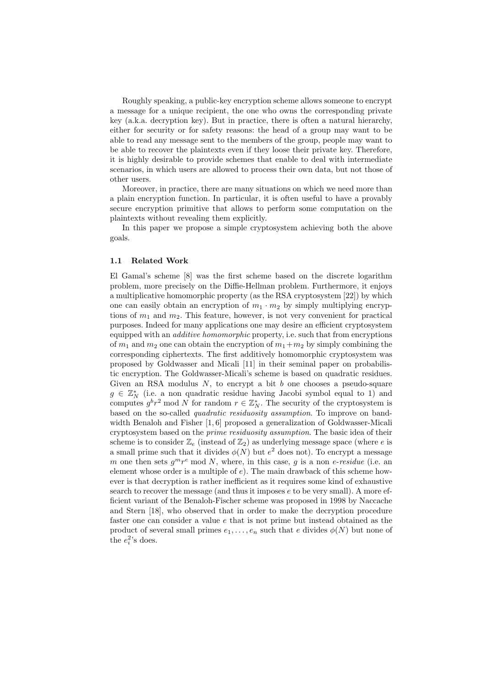Roughly speaking, a public-key encryption scheme allows someone to encrypt a message for a unique recipient, the one who owns the corresponding private key (a.k.a. decryption key). But in practice, there is often a natural hierarchy, either for security or for safety reasons: the head of a group may want to be able to read any message sent to the members of the group, people may want to be able to recover the plaintexts even if they loose their private key. Therefore, it is highly desirable to provide schemes that enable to deal with intermediate scenarios, in which users are allowed to process their own data, but not those of other users.

Moreover, in practice, there are many situations on which we need more than a plain encryption function. In particular, it is often useful to have a provably secure encryption primitive that allows to perform some computation on the plaintexts without revealing them explicitly.

In this paper we propose a simple cryptosystem achieving both the above goals.

#### 1.1 Related Work

El Gamal's scheme [8] was the first scheme based on the discrete logarithm problem, more precisely on the Diffie-Hellman problem. Furthermore, it enjoys a multiplicative homomorphic property (as the RSA cryptosystem [22]) by which one can easily obtain an encryption of  $m_1 \cdot m_2$  by simply multiplying encryptions of  $m_1$  and  $m_2$ . This feature, however, is not very convenient for practical purposes. Indeed for many applications one may desire an efficient cryptosystem equipped with an *additive homomorphic* property, i.e. such that from encryptions of  $m_1$  and  $m_2$  one can obtain the encryption of  $m_1+m_2$  by simply combining the corresponding ciphertexts. The first additively homomorphic cryptosystem was proposed by Goldwasser and Micali [11] in their seminal paper on probabilistic encryption. The Goldwasser-Micali's scheme is based on quadratic residues. Given an RSA modulus  $N$ , to encrypt a bit  $b$  one chooses a pseudo-square  $g \in \mathbb{Z}_N^*$  (i.e. a non quadratic residue having Jacobi symbol equal to 1) and computes  $g^b r^2$  mod N for random  $r \in \mathbb{Z}_N^*$ . The security of the cryptosystem is based on the so-called *quadratic residuosity assumption*. To improve on bandwidth Benaloh and Fisher [1, 6] proposed a generalization of Goldwasser-Micali cryptosystem based on the prime residuosity assumption. The basic idea of their scheme is to consider  $\mathbb{Z}_e$  (instead of  $\mathbb{Z}_2$ ) as underlying message space (where e is a small prime such that it divides  $\phi(N)$  but  $e^2$  does not). To encrypt a message m one then sets  $g^{m}r^{e}$  mod N, where, in this case, g is a non e-residue (i.e. an element whose order is a multiple of e). The main drawback of this scheme however is that decryption is rather inefficient as it requires some kind of exhaustive search to recover the message (and thus it imposes  $e$  to be very small). A more efficient variant of the Benaloh-Fischer scheme was proposed in 1998 by Naccache and Stern [18], who observed that in order to make the decryption procedure faster one can consider a value e that is not prime but instead obtained as the product of several small primes  $e_1, \ldots, e_n$  such that e divides  $\phi(N)$  but none of the  $e_i^2$ 's does.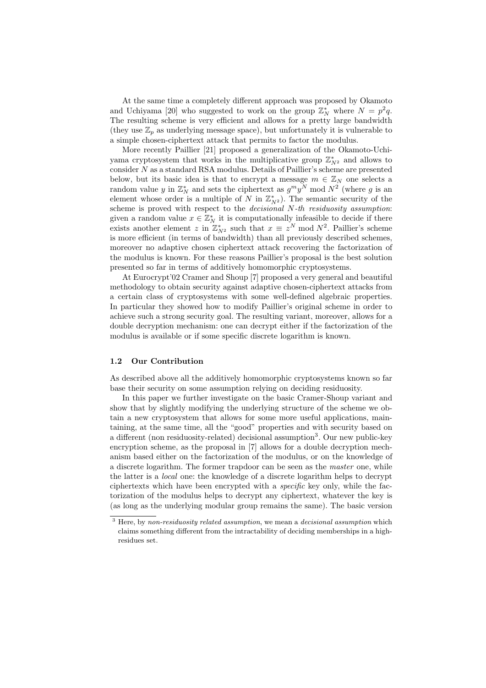At the same time a completely different approach was proposed by Okamoto and Uchiyama [20] who suggested to work on the group  $\mathbb{Z}_N^*$  where  $N = p^2 q$ . The resulting scheme is very efficient and allows for a pretty large bandwidth (they use  $\mathbb{Z}_n$  as underlying message space), but unfortunately it is vulnerable to a simple chosen-ciphertext attack that permits to factor the modulus.

More recently Paillier [21] proposed a generalization of the Okamoto-Uchiyama cryptosystem that works in the multiplicative group  $\mathbb{Z}_{N^2}^*$  and allows to consider  $N$  as a standard RSA modulus. Details of Paillier's scheme are presented below, but its basic idea is that to encrypt a message  $m \in \mathbb{Z}_N$  one selects a random value y in  $\mathbb{Z}_N^*$  and sets the ciphertext as  $g^m y^N$  mod  $N^2$  (where y is an element whose order is a multiple of N in  $\mathbb{Z}_{N^2}^*$ ). The semantic security of the scheme is proved with respect to the *decisional* N-th residuosity assumption: given a random value  $x \in \mathbb{Z}_N^*$  it is computationally infeasible to decide if there exists another element z in  $\mathbb{Z}_{N^2}^*$  such that  $x \equiv z^N \mod N^2$ . Paillier's scheme is more efficient (in terms of bandwidth) than all previously described schemes, moreover no adaptive chosen ciphertext attack recovering the factorization of the modulus is known. For these reasons Paillier's proposal is the best solution presented so far in terms of additively homomorphic cryptosystems.

At Eurocrypt'02 Cramer and Shoup [7] proposed a very general and beautiful methodology to obtain security against adaptive chosen-ciphertext attacks from a certain class of cryptosystems with some well-defined algebraic properties. In particular they showed how to modify Paillier's original scheme in order to achieve such a strong security goal. The resulting variant, moreover, allows for a double decryption mechanism: one can decrypt either if the factorization of the modulus is available or if some specific discrete logarithm is known.

## 1.2 Our Contribution

As described above all the additively homomorphic cryptosystems known so far base their security on some assumption relying on deciding residuosity.

In this paper we further investigate on the basic Cramer-Shoup variant and show that by slightly modifying the underlying structure of the scheme we obtain a new cryptosystem that allows for some more useful applications, maintaining, at the same time, all the "good" properties and with security based on a different (non residuosity-related) decisional assumption<sup>3</sup>. Our new public-key encryption scheme, as the proposal in [7] allows for a double decryption mechanism based either on the factorization of the modulus, or on the knowledge of a discrete logarithm. The former trapdoor can be seen as the master one, while the latter is a local one: the knowledge of a discrete logarithm helps to decrypt ciphertexts which have been encrypted with a specific key only, while the factorization of the modulus helps to decrypt any ciphertext, whatever the key is (as long as the underlying modular group remains the same). The basic version

 $3$  Here, by non-residuosity related assumption, we mean a decisional assumption which claims something different from the intractability of deciding memberships in a highresidues set.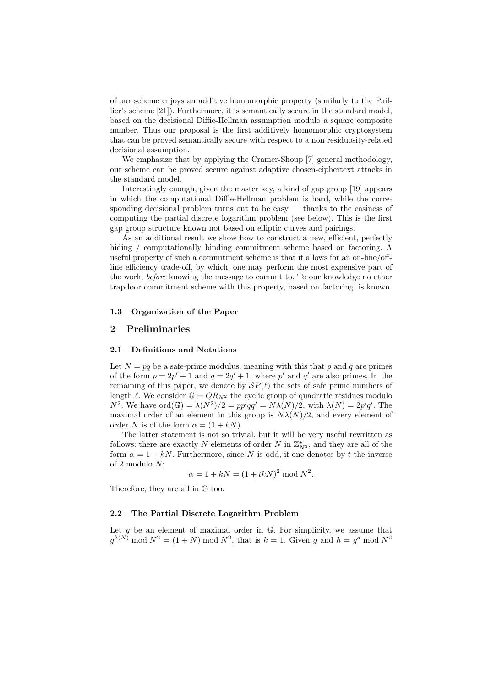of our scheme enjoys an additive homomorphic property (similarly to the Paillier's scheme [21]). Furthermore, it is semantically secure in the standard model, based on the decisional Diffie-Hellman assumption modulo a square composite number. Thus our proposal is the first additively homomorphic cryptosystem that can be proved semantically secure with respect to a non residuosity-related decisional assumption.

We emphasize that by applying the Cramer-Shoup [7] general methodology, our scheme can be proved secure against adaptive chosen-ciphertext attacks in the standard model.

Interestingly enough, given the master key, a kind of gap group [19] appears in which the computational Diffie-Hellman problem is hard, while the corresponding decisional problem turns out to be easy — thanks to the easiness of computing the partial discrete logarithm problem (see below). This is the first gap group structure known not based on elliptic curves and pairings.

As an additional result we show how to construct a new, efficient, perfectly hiding / computationally binding commitment scheme based on factoring. A useful property of such a commitment scheme is that it allows for an on-line/offline efficiency trade-off, by which, one may perform the most expensive part of the work, before knowing the message to commit to. To our knowledge no other trapdoor commitment scheme with this property, based on factoring, is known.

## 1.3 Organization of the Paper

## 2 Preliminaries

#### 2.1 Definitions and Notations

Let  $N = pq$  be a safe-prime modulus, meaning with this that p and q are primes of the form  $p = 2p' + 1$  and  $q = 2q' + 1$ , where p' and q' are also primes. In the remaining of this paper, we denote by  $\mathcal{S}P(\ell)$  the sets of safe prime numbers of length  $\ell$ . We consider  $\mathbb{G} = QR_{N^2}$  the cyclic group of quadratic residues modulo  $N^2$ . We have ord $(\mathbb{G}) = \lambda(N^2)/2 = pp'qq' = N\lambda(N)/2$ , with  $\lambda(N) = 2p'q'$ . The maximal order of an element in this group is  $N\lambda(N)/2$ , and every element of order N is of the form  $\alpha = (1 + kN)$ .

The latter statement is not so trivial, but it will be very useful rewritten as follows: there are exactly N elements of order N in  $\mathbb{Z}_{N^2}^{\star}$ , and they are all of the form  $\alpha = 1 + kN$ . Furthermore, since N is odd, if one denotes by t the inverse of 2 modulo N:

$$
\alpha = 1 + kN = (1 + tkN)^2 \mod N^2
$$
.

Therefore, they are all in G too.

## 2.2 The Partial Discrete Logarithm Problem

Let  $g$  be an element of maximal order in  $G$ . For simplicity, we assume that  $g^{\lambda(N)}$  mod  $N^2 = (1 + N)$  mod  $N^2$ , that is  $k = 1$ . Given g and  $h = g^a$  mod  $N^2$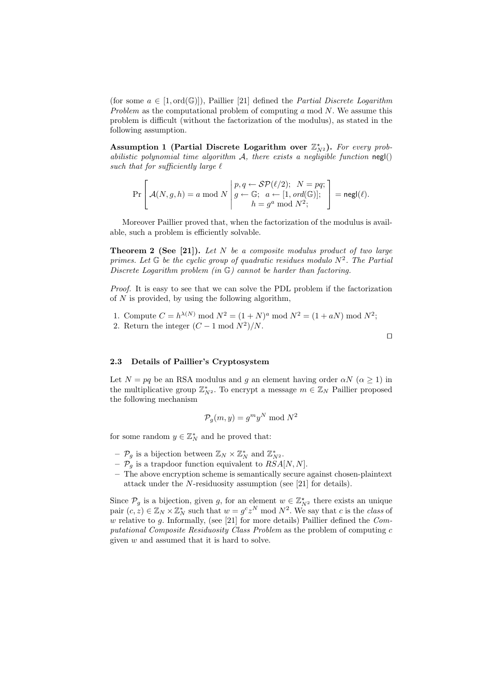(for some  $a \in [1, \text{ord}(\mathbb{G})]$ ), Paillier [21] defined the *Partial Discrete Logarithm* Problem as the computational problem of computing  $a \mod N$ . We assume this problem is difficult (without the factorization of the modulus), as stated in the following assumption.

Assumption 1 (Partial Discrete Logarithm over  $\mathbb{Z}_{N^2}^*$ ). For every probabilistic polynomial time algorithm  $A$ , there exists a negligible function negl() such that for sufficiently large  $\ell$ 

$$
\Pr\left[\mathcal{A}(N,g,h)=a \bmod N \middle| \begin{aligned} p,q &\leftarrow \mathcal{SP}(\ell/2); & N=pq; \\ g &\leftarrow \mathbb{G}; & a \leftarrow [1, \text{ord}(\mathbb{G})]; \\ h&=g^a \bmod N^2; \end{aligned} \right] = \mathsf{negl}(\ell).
$$

Moreover Paillier proved that, when the factorization of the modulus is available, such a problem is efficiently solvable.

**Theorem 2 (See [21]).** Let  $N$  be a composite modulus product of two large primes. Let  $\mathbb G$  be the cyclic group of quadratic residues modulo  $N^2$ . The Partial Discrete Logarithm problem (in G) cannot be harder than factoring.

Proof. It is easy to see that we can solve the PDL problem if the factorization of  $N$  is provided, by using the following algorithm,

1. Compute  $C = h^{\lambda(N)} \bmod N^2 = (1+N)^a \bmod N^2 = (1+aN) \bmod N^2;$ 2. Return the integer  $(C-1 \mod N^2)/N$ .

 $\Box$ 

#### 2.3 Details of Paillier's Cryptosystem

Let  $N = pq$  be an RSA modulus and g an element having order  $\alpha N$  ( $\alpha \ge 1$ ) in the multiplicative group  $\mathbb{Z}_{N^2}^*$ . To encrypt a message  $m \in \mathbb{Z}_N$  Paillier proposed the following mechanism

$$
\mathcal{P}_g(m, y) = g^m y^N \bmod N^2
$$

for some random  $y \in \mathbb{Z}_N^*$  and he proved that:

- $-\mathcal{P}_{g}$  is a bijection between  $\mathbb{Z}_{N} \times \mathbb{Z}_{N}^{*}$  and  $\mathbb{Z}_{N^{2}}^{*}$ .
- $\mathcal{P}_g$  is a trapdoor function equivalent to  $RSA[N, N]$ .
- The above encryption scheme is semantically secure against chosen-plaintext attack under the N-residuosity assumption (see [21] for details).

Since  $\mathcal{P}_g$  is a bijection, given g, for an element  $w \in \mathbb{Z}_{N^2}^*$  there exists an unique pair  $(c, z) \in \mathbb{Z}_N \times \mathbb{Z}_N^*$  such that  $w = g^c z^N \mod N^2$ . We say that c is the class of w relative to g. Informally, (see [21] for more details) Paillier defined the  $Com$ putational Composite Residuosity Class Problem as the problem of computing c given w and assumed that it is hard to solve.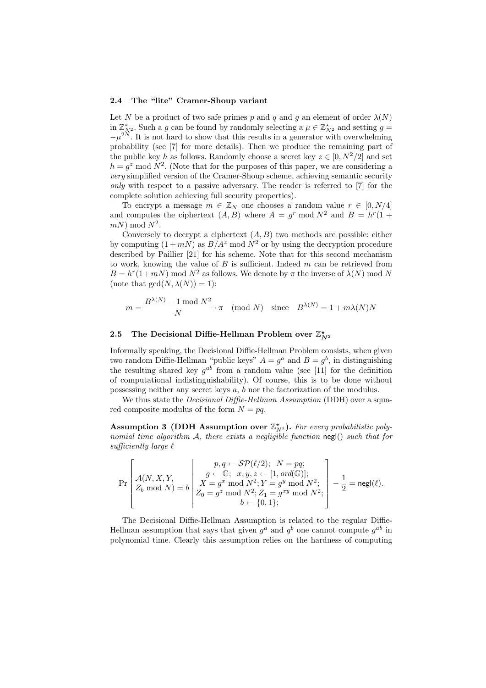#### 2.4 The "lite" Cramer-Shoup variant

Let N be a product of two safe primes p and q and g an element of order  $\lambda(N)$ in  $\mathbb{Z}_{N^2}^*$ . Such a g can be found by randomly selecting a  $\mu \in \mathbb{Z}_{N^2}^*$  and setting  $g =$  $-\mu^{2N}$ . It is not hard to show that this results in a generator with overwhelming probability (see [7] for more details). Then we produce the remaining part of the public key h as follows. Randomly choose a secret key  $z \in [0, N^2/2]$  and set  $h = g^z \mod N^2$ . (Note that for the purposes of this paper, we are considering a very simplified version of the Cramer-Shoup scheme, achieving semantic security only with respect to a passive adversary. The reader is referred to [7] for the complete solution achieving full security properties).

To encrypt a message  $m \in \mathbb{Z}_N$  one chooses a random value  $r \in [0, N/4]$ and computes the ciphertext  $(A, B)$  where  $A = g^r \mod N^2$  and  $B = h^r(1 +$  $mN$ ) mod  $N^2$ .

Conversely to decrypt a ciphertext  $(A, B)$  two methods are possible: either by computing  $(1 + mN)$  as  $B/A^z$  mod  $N^2$  or by using the decryption procedure described by Paillier [21] for his scheme. Note that for this second mechanism to work, knowing the value of  $B$  is sufficient. Indeed  $m$  can be retrieved from  $B = h^r(1 + mN) \text{ mod } N^2$  as follows. We denote by  $\pi$  the inverse of  $\lambda(N) \text{ mod } N$ (note that  $gcd(N, \lambda(N)) = 1$ ):

$$
m = \frac{B^{\lambda(N)} - 1 \bmod N^2}{N} \cdot \pi \pmod{N} \quad \text{since} \quad B^{\lambda(N)} = 1 + m\lambda(N)N
$$

## 2.5 The Decisional Diffie-Hellman Problem over  $\mathbb{Z}_{N^2}^{\star}$

Informally speaking, the Decisional Diffie-Hellman Problem consists, when given two random Diffie-Hellman "public keys"  $A = g^a$  and  $B = g^b$ , in distinguishing the resulting shared key  $g^{ab}$  from a random value (see [11] for the definition of computational indistinguishability). Of course, this is to be done without possessing neither any secret keys a, b nor the factorization of the modulus.

We thus state the *Decisional Diffie-Hellman Assumption* (DDH) over a squared composite modulus of the form  $N = pq$ .

Assumption 3 (DDH Assumption over  $\mathbb{Z}_{N^2}^*$ ). For every probabilistic polynomial time algorithm  $A$ , there exists a negligible function negl() such that for sufficiently large  $\ell$ 

$$
\Pr\left[\begin{matrix}p,q\leftarrow \mathcal{SP}(\ell/2); \;\; N=pq;\\ \mathcal{A}(N,X,Y,\quad \ \ \, \\ Z_b \bmod N)=b \end{matrix}\right|\begin{matrix}p,q\leftarrow \mathcal{SP}(\ell/2); \;\; N=pq;\\ X=g^x \bmod N^2; Y=g^y \bmod N^2;\\ Z_0=g^z \bmod N^2; Z_1=g^{xy} \bmod N^2;\\ b\leftarrow \{0,1\}; \end{matrix}\right]-\frac{1}{2}=\mathsf{negl}(\ell).
$$

The Decisional Diffie-Hellman Assumption is related to the regular Diffie-Hellman assumption that says that given  $g^a$  and  $g^b$  one cannot compute  $g^{ab}$  in polynomial time. Clearly this assumption relies on the hardness of computing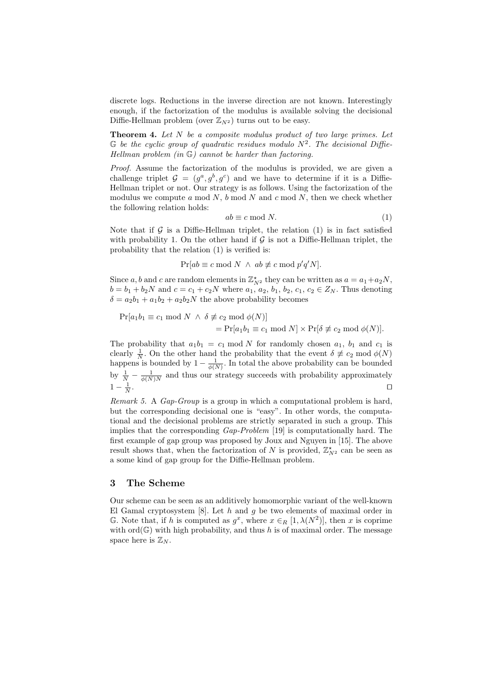discrete logs. Reductions in the inverse direction are not known. Interestingly enough, if the factorization of the modulus is available solving the decisional Diffie-Hellman problem (over  $\mathbb{Z}_{N^2}$ ) turns out to be easy.

**Theorem 4.** Let  $N$  be a composite modulus product of two large primes. Let  $\mathbb G$  be the cyclic group of quadratic residues modulo  $N^2$ . The decisional Diffie-Hellman problem  $(in \mathbb{G})$  cannot be harder than factoring.

Proof. Assume the factorization of the modulus is provided, we are given a challenge triplet  $\mathcal{G} = (g^a, g^b, g^c)$  and we have to determine if it is a Diffie-Hellman triplet or not. Our strategy is as follows. Using the factorization of the modulus we compute a mod  $N$ ,  $b \mod N$  and  $c \mod N$ , then we check whether the following relation holds:

$$
ab \equiv c \bmod N. \tag{1}
$$

Note that if  $\mathcal G$  is a Diffie-Hellman triplet, the relation (1) is in fact satisfied with probability 1. On the other hand if  $\mathcal G$  is not a Diffie-Hellman triplet, the probability that the relation (1) is verified is:

 $Pr[ab \equiv c \mod N \land ab \not\equiv c \mod p'q'N].$ 

Since a, b and c are random elements in  $\mathbb{Z}_{N^2}^*$  they can be written as  $a = a_1 + a_2N$ ,  $b = b_1 + b_2N$  and  $c = c_1 + c_2N$  where  $a_1, a_2, b_1, b_2, c_1, c_2 \in Z_N$ . Thus denoting  $\delta = a_2b_1 + a_1b_2 + a_2b_2N$  the above probability becomes

$$
Pr[a_1b_1 \equiv c_1 \mod N \land \delta \not\equiv c_2 \mod \phi(N)]
$$
  
= 
$$
Pr[a_1b_1 \equiv c_1 \mod N] \times Pr[\delta \not\equiv c_2 \mod \phi(N)].
$$

The probability that  $a_1b_1 = c_1 \mod N$  for randomly chosen  $a_1$ ,  $b_1$  and  $c_1$  is clearly  $\frac{1}{N}$ . On the other hand the probability that the event  $\delta \not\equiv c_2 \mod \phi(N)$ happens is bounded by  $1 - \frac{1}{\phi(N)}$ . In total the above probability can be bounded by  $\frac{1}{N} - \frac{1}{\phi(N)N}$  and thus our strategy succeeds with probability approximately  $1-\frac{1}{N}$ . The contract of the contract of the contract of the contract  $\Box$ 

Remark 5. A Gap-Group is a group in which a computational problem is hard, but the corresponding decisional one is "easy". In other words, the computational and the decisional problems are strictly separated in such a group. This implies that the corresponding  $Gap-Problem$  [19] is computationally hard. The first example of gap group was proposed by Joux and Nguyen in [15]. The above result shows that, when the factorization of N is provided,  $\mathbb{Z}_{N^2}^{\star}$  can be seen as a some kind of gap group for the Diffie-Hellman problem.

## 3 The Scheme

Our scheme can be seen as an additively homomorphic variant of the well-known El Gamal cryptosystem [8]. Let h and g be two elements of maximal order in  $\mathbb G$ . Note that, if h is computed as  $g^x$ , where  $x \in_R [1, \lambda(N^2)]$ , then x is coprime with  $\text{ord}(\mathbb{G})$  with high probability, and thus h is of maximal order. The message space here is  $\mathbb{Z}_N$ .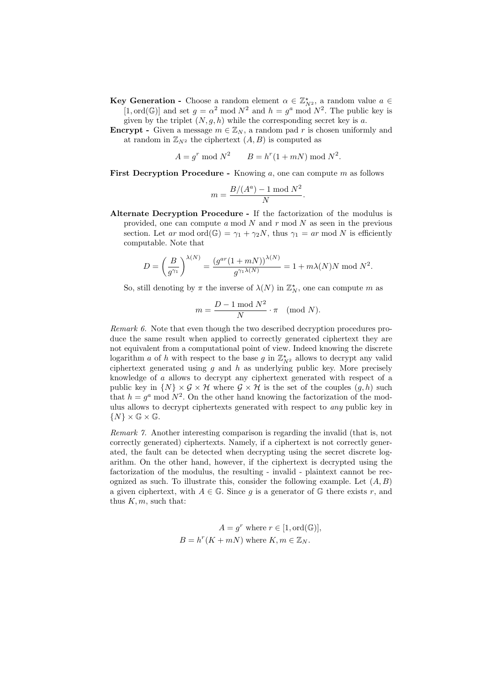- **Key Generation** Choose a random element  $\alpha \in \mathbb{Z}_{N^2}^*$ , a random value  $a \in$ [1, ord( $\mathbb{G}$ )] and set  $g = \alpha^2 \mod N^2$  and  $h = g^a \mod N^2$ . The public key is given by the triplet  $(N, g, h)$  while the corresponding secret key is a.
- **Encrypt** Given a message  $m \in \mathbb{Z}_N$ , a random pad r is chosen uniformly and at random in  $\mathbb{Z}_{N^2}$  the ciphertext  $(A, B)$  is computed as

 $A = g^r \bmod N$ <sup>2</sup>  $B = h^r(1 + mN) \bmod N^2$ .

First Decryption Procedure - Knowing  $a$ , one can compute  $m$  as follows

$$
m = \frac{B/(A^a) - 1 \mod N^2}{N}.
$$

Alternate Decryption Procedure - If the factorization of the modulus is provided, one can compute  $a \mod N$  and  $r \mod N$  as seen in the previous section. Let ar mod ord $(\mathbb{G}) = \gamma_1 + \gamma_2 N$ , thus  $\gamma_1 = ar \mod N$  is efficiently computable. Note that

$$
D = \left(\frac{B}{g^{\gamma_1}}\right)^{\lambda(N)} = \frac{\left(g^{ar}(1+mN)\right)^{\lambda(N)}}{g^{\gamma_1\lambda(N)}} = 1 + m\lambda(N)N \text{ mod } N^2.
$$

So, still denoting by  $\pi$  the inverse of  $\lambda(N)$  in  $\mathbb{Z}_N^*$ , one can compute m as

$$
m = \frac{D - 1 \mod N^2}{N} \cdot \pi \pmod{N}.
$$

Remark 6. Note that even though the two described decryption procedures produce the same result when applied to correctly generated ciphertext they are not equivalent from a computational point of view. Indeed knowing the discrete logarithm a of h with respect to the base g in  $\mathbb{Z}_{N^2}^*$  allows to decrypt any valid ciphertext generated using  $g$  and  $h$  as underlying public key. More precisely knowledge of a allows to decrypt any ciphertext generated with respect of a public key in  $\{N\}\times\mathcal{G}\times\mathcal{H}$  where  $\mathcal{G}\times\mathcal{H}$  is the set of the couples  $(g,h)$  such that  $h = g^a \mod N^2$ . On the other hand knowing the factorization of the modulus allows to decrypt ciphertexts generated with respect to any public key in  $\{N\}\times\mathbb{G}\times\mathbb{G}.$ 

Remark 7. Another interesting comparison is regarding the invalid (that is, not correctly generated) ciphertexts. Namely, if a ciphertext is not correctly generated, the fault can be detected when decrypting using the secret discrete logarithm. On the other hand, however, if the ciphertext is decrypted using the factorization of the modulus, the resulting - invalid - plaintext cannot be recognized as such. To illustrate this, consider the following example. Let  $(A, B)$ a given ciphertext, with  $A \in \mathbb{G}$ . Since g is a generator of  $\mathbb{G}$  there exists r, and thus  $K, m$ , such that:

$$
A = g^r \text{ where } r \in [1, \text{ord}(\mathbb{G})],
$$
  

$$
B = h^r(K + mN) \text{ where } K, m \in \mathbb{Z}_N.
$$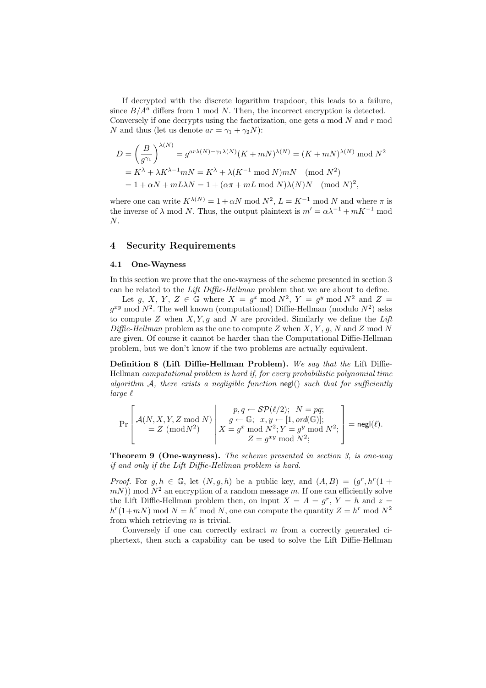If decrypted with the discrete logarithm trapdoor, this leads to a failure, since  $B/A^a$  differs from 1 mod N. Then, the incorrect encryption is detected. Conversely if one decrypts using the factorization, one gets  $a \mod N$  and  $r \mod N$ N and thus (let us denote  $ar = \gamma_1 + \gamma_2 N$ ):

$$
D = \left(\frac{B}{g^{\gamma_1}}\right)^{\lambda(N)} = g^{a r \lambda(N) - \gamma_1 \lambda(N)} (K + mN)^{\lambda(N)} = (K + mN)^{\lambda(N)} \mod N^2
$$
  
=  $K^{\lambda} + \lambda K^{\lambda - 1} mN = K^{\lambda} + \lambda (K^{-1} \mod N) mN \pmod{N^2}$   
=  $1 + \alpha N + mL\lambda N = 1 + (\alpha \pi + mL \mod N)\lambda(N)N \pmod{N^2},$ 

where one can write  $K^{\lambda(N)} = 1 + \alpha N \text{ mod } N^2$ ,  $L = K^{-1} \text{ mod } N$  and where  $\pi$  is the inverse of  $\lambda$  mod N. Thus, the output plaintext is  $m' = \alpha \lambda^{-1} + mK^{-1}$  mod  $N$ .

## 4 Security Requirements

#### 4.1 One-Wayness

In this section we prove that the one-wayness of the scheme presented in section 3 can be related to the Lift Diffie-Hellman problem that we are about to define.

Let g, X, Y, Z  $\in \mathbb{G}$  where  $X = g^x \mod N^2$ ,  $Y = g^y \mod N^2$  and  $Z =$  $g^{xy}$  mod  $N^2$ . The well known (computational) Diffie-Hellman (modulo  $N^2$ ) asks to compute  $Z$  when  $X, Y, g$  and  $N$  are provided. Similarly we define the Lift Diffie-Hellman problem as the one to compute Z when  $X, Y, g, N$  and Z mod N are given. Of course it cannot be harder than the Computational Diffie-Hellman problem, but we don't know if the two problems are actually equivalent.

Definition 8 (Lift Diffie-Hellman Problem). We say that the Lift Diffie-Hellman computational problem is hard if, for every probabilistic polynomial time algorithm  $A$ , there exists a negligible function negl() such that for sufficiently  $large \ \ell$ 

$$
\Pr\left[\begin{aligned} &\mathcal{A}(N,X,Y,Z\bmod N)\\ &=Z\;(\bmod N^2)\\ &\qquad=Z^{\prime}\;(\bmod N^2)\end{aligned}\right|\begin{aligned} &p,q\leftarrow\mathcal{SP}(\ell/2); \;\;N=pq;\\ &g\leftarrow\mathbb{G};\;\;x,y\leftarrow[1,\,ord(\mathbb{G})];\\ &X=g^x\bmod N^2;Y=g^y\bmod N^2;\\ &Z=g^{xy}\bmod N^2;\end{aligned}\right]=\mathsf{negl}(\ell).
$$

**Theorem 9 (One-wayness).** The scheme presented in section 3, is one-way if and only if the Lift Diffie-Hellman problem is hard.

*Proof.* For  $g, h \in \mathbb{G}$ , let  $(N, g, h)$  be a public key, and  $(A, B) = (g^r, h^r(1 +$  $(mN)$ ) mod  $N^2$  an encryption of a random message m. If one can efficiently solve the Lift Diffie-Hellman problem then, on input  $X = A = g^r$ ,  $Y = h$  and  $z = h$  $h^{r}(1+mN) \mod N = h^{r} \mod N$ , one can compute the quantity  $Z = h^{r} \mod N^{2}$ from which retrieving  $m$  is trivial.

Conversely if one can correctly extract  $m$  from a correctly generated ciphertext, then such a capability can be used to solve the Lift Diffie-Hellman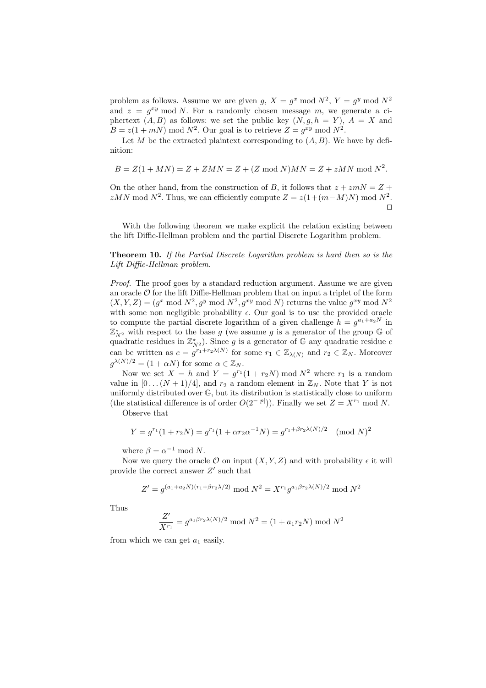problem as follows. Assume we are given g,  $X = g^x \mod N^2$ ,  $Y = g^y \mod N^2$ and  $z = g^{xy} \mod N$ . For a randomly chosen message m, we generate a ciphertext  $(A, B)$  as follows: we set the public key  $(N, g, h = Y)$ ,  $A = X$  and  $B = z(1 + mN) \text{ mod } N^2$ . Our goal is to retrieve  $Z = g^{xy} \text{ mod } N^2$ .

Let  $M$  be the extracted plaintext corresponding to  $(A, B)$ . We have by definition:

$$
B = Z(1 + MN) = Z + ZMN = Z + (Z \bmod N)MN = Z + zMN \bmod N^2.
$$

On the other hand, from the construction of B, it follows that  $z + zmN = Z +$  $zMN \mod N^2$ . Thus, we can efficiently compute  $Z = z(1 + (m-M)N) \mod N^2$ .  $\Box$ 

With the following theorem we make explicit the relation existing between the lift Diffie-Hellman problem and the partial Discrete Logarithm problem.

## Theorem 10. If the Partial Discrete Logarithm problem is hard then so is the Lift Diffie-Hellman problem.

Proof. The proof goes by a standard reduction argument. Assume we are given an oracle  $\mathcal O$  for the lift Diffie-Hellman problem that on input a triplet of the form  $(X, Y, Z) = (g^x \mod N^2, g^y \mod N^2, g^{xy} \mod N)$  returns the value  $g^{xy} \mod N^2$ with some non negligible probability  $\epsilon$ . Our goal is to use the provided oracle to compute the partial discrete logarithm of a given challenge  $h = g^{a_1 + a_2 N}$  in  $\mathbb{Z}_{N^2}^*$  with respect to the base g (we assume g is a generator of the group G of quadratic residues in  $\mathbb{Z}_{N^2}^*$ ). Since g is a generator of G any quadratic residue c can be written as  $c = g^{r_1+r_2\lambda(N)}$  for some  $r_1 \in \mathbb{Z}_{\lambda(N)}$  and  $r_2 \in \mathbb{Z}_N$ . Moreover  $g^{\lambda(N)/2} = (1 + \alpha N)$  for some  $\alpha \in \mathbb{Z}_N$ .

Now we set  $X = h$  and  $Y = g^{r_1}(1 + r_2N) \text{ mod } N^2$  where  $r_1$  is a random value in  $[0 \dots (N+1)/4]$ , and  $r_2$  a random element in  $\mathbb{Z}_N$ . Note that Y is not uniformly distributed over G, but its distribution is statistically close to uniform (the statistical difference is of order  $O(2^{-|p|})$ ). Finally we set  $Z = X^{r_1} \text{ mod } N$ .

Observe that

$$
Y = g^{r_1}(1 + r_2N) = g^{r_1}(1 + \alpha r_2 \alpha^{-1}N) = g^{r_1 + \beta r_2 \lambda(N)/2} \pmod{N}^2
$$

where  $\beta = \alpha^{-1} \text{ mod } N$ .

Now we query the oracle  $\mathcal O$  on input  $(X, Y, Z)$  and with probability  $\epsilon$  it will provide the correct answer  $Z'$  such that

$$
Z' = g^{(a_1 + a_2N)(r_1 + \beta r_2\lambda/2)} \mod N^2 = X^{r_1} g^{a_1 \beta r_2 \lambda(N)/2} \mod N^2
$$

Thus

$$
\frac{Z'}{X^{r_1}} = g^{a_1 \beta r_2 \lambda(N)/2} \mod N^2 = (1 + a_1 r_2 N) \mod N^2
$$

from which we can get  $a_1$  easily.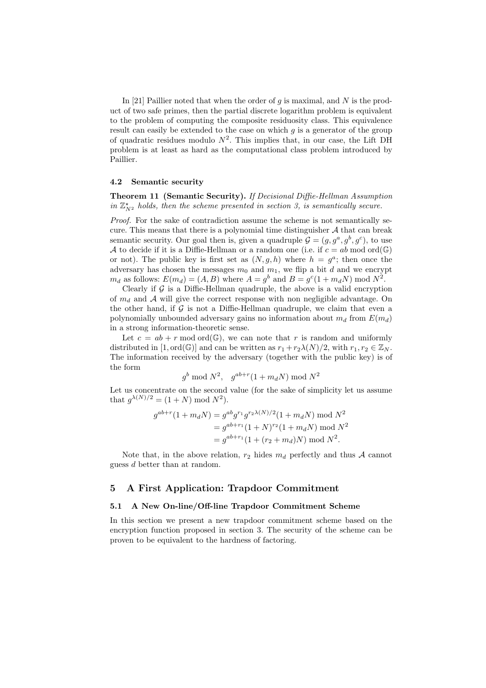In [21] Paillier noted that when the order of  $g$  is maximal, and  $N$  is the product of two safe primes, then the partial discrete logarithm problem is equivalent to the problem of computing the composite residuosity class. This equivalence result can easily be extended to the case on which  $q$  is a generator of the group of quadratic residues modulo  $N^2$ . This implies that, in our case, the Lift DH problem is at least as hard as the computational class problem introduced by Paillier.

#### 4.2 Semantic security

Theorem 11 (Semantic Security). If Decisional Diffie-Hellman Assumption in  $\mathbb{Z}_{N^2}^*$  holds, then the scheme presented in section 3, is semantically secure.

Proof. For the sake of contradiction assume the scheme is not semantically secure. This means that there is a polynomial time distinguisher  $A$  that can break semantic security. Our goal then is, given a quadruple  $\mathcal{G} = (g, g^a, g^b, g^c)$ , to use A to decide if it is a Diffie-Hellman or a random one (i.e. if  $c = ab \mod \text{ord}(\mathbb{G})$ ) or not). The public key is first set as  $(N, g, h)$  where  $h = g^a$ ; then once the adversary has chosen the messages  $m_0$  and  $m_1$ , we flip a bit d and we encrypt  $m_d$  as follows:  $E(m_d) = (A, B)$  where  $A = g^b$  and  $B = g^c(1 + m_d N) \text{ mod } N^2$ .

Clearly if  $G$  is a Diffie-Hellman quadruple, the above is a valid encryption of  $m_d$  and A will give the correct response with non negligible advantage. On the other hand, if  $G$  is not a Diffie-Hellman quadruple, we claim that even a polynomially unbounded adversary gains no information about  $m_d$  from  $E(m_d)$ in a strong information-theoretic sense.

Let  $c = ab + r \mod ord(\mathbb{G})$ , we can note that r is random and uniformly distributed in [1, ord( $\mathbb{G}$ )] and can be written as  $r_1 + r_2\lambda(N)/2$ , with  $r_1, r_2 \in \mathbb{Z}_N$ . The information received by the adversary (together with the public key) is of the form

$$
g^b \bmod N^2, \quad g^{ab+r}(1+m_dN) \bmod N^2
$$

Let us concentrate on the second value (for the sake of simplicity let us assume that  $g^{\lambda(N)/2} = (1+N) \bmod N^2$ .

$$
g^{ab+r}(1+m_dN) = g^{ab}g^{r_1}g^{r_2\lambda(N)/2}(1+m_dN) \mod N^2
$$
  
=  $g^{ab+r_1}(1+N)^{r_2}(1+m_dN) \mod N^2$   
=  $g^{ab+r_1}(1+(r_2+m_d)N) \mod N^2$ .

Note that, in the above relation,  $r_2$  hides  $m_d$  perfectly and thus A cannot guess d better than at random.

## 5 A First Application: Trapdoor Commitment

#### 5.1 A New On-line/Off-line Trapdoor Commitment Scheme

In this section we present a new trapdoor commitment scheme based on the encryption function proposed in section 3. The security of the scheme can be proven to be equivalent to the hardness of factoring.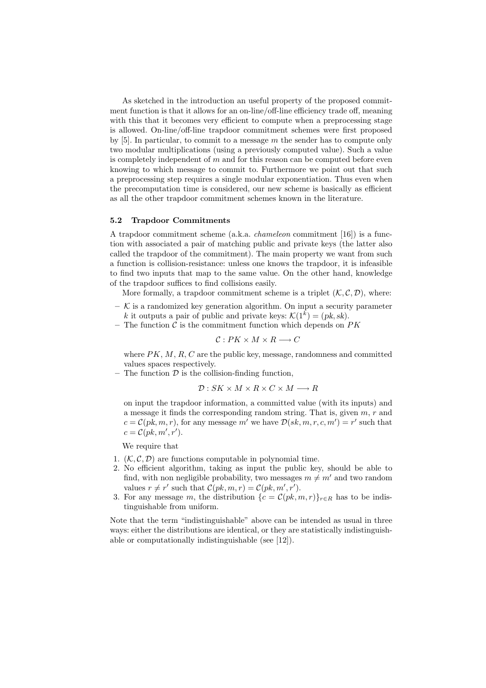As sketched in the introduction an useful property of the proposed commitment function is that it allows for an on-line/off-line efficiency trade off, meaning with this that it becomes very efficient to compute when a preprocessing stage is allowed. On-line/off-line trapdoor commitment schemes were first proposed by [5]. In particular, to commit to a message  $m$  the sender has to compute only two modular multiplications (using a previously computed value). Such a value is completely independent of  $m$  and for this reason can be computed before even knowing to which message to commit to. Furthermore we point out that such a preprocessing step requires a single modular exponentiation. Thus even when the precomputation time is considered, our new scheme is basically as efficient as all the other trapdoor commitment schemes known in the literature.

#### 5.2 Trapdoor Commitments

A trapdoor commitment scheme (a.k.a. chameleon commitment [16]) is a function with associated a pair of matching public and private keys (the latter also called the trapdoor of the commitment). The main property we want from such a function is collision-resistance: unless one knows the trapdoor, it is infeasible to find two inputs that map to the same value. On the other hand, knowledge of the trapdoor suffices to find collisions easily.

More formally, a trapdoor commitment scheme is a triplet  $(K, \mathcal{C}, \mathcal{D})$ , where:

- $-$  K is a randomized key generation algorithm. On input a security parameter k it outputs a pair of public and private keys:  $\mathcal{K}(1^k) = (pk, sk)$ .
- The function  $\mathcal C$  is the commitment function which depends on  $PK$

$$
\mathcal{C}: PK \times M \times R \longrightarrow C
$$

where  $PK, M, R, C$  are the public key, message, randomness and committed values spaces respectively.

– The function  $\mathcal D$  is the collision-finding function,

$$
\mathcal{D}: SK \times M \times R \times C \times M \longrightarrow R
$$

on input the trapdoor information, a committed value (with its inputs) and a message it finds the corresponding random string. That is, given m, r and  $c = \mathcal{C}(pk, m, r)$ , for any message m' we have  $\mathcal{D}(sk, m, r, c, m') = r'$  such that  $c = \mathcal{C}(pk, m', r').$ 

We require that

- 1.  $(K, \mathcal{C}, \mathcal{D})$  are functions computable in polynomial time.
- 2. No efficient algorithm, taking as input the public key, should be able to find, with non negligible probability, two messages  $m \neq m'$  and two random values  $r \neq r'$  such that  $C(pk, m, r) = C(pk, m', r')$ .
- 3. For any message m, the distribution  $\{c = \mathcal{C}(pk, m, r)\}_{r \in R}$  has to be indistinguishable from uniform.

Note that the term "indistinguishable" above can be intended as usual in three ways: either the distributions are identical, or they are statistically indistinguishable or computationally indistinguishable (see [12]).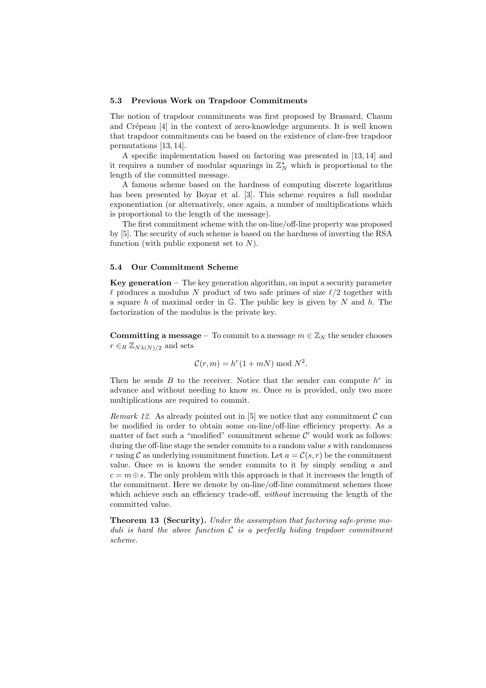#### 5.3 Previous Work on Trapdoor Commitments

The notion of trapdoor commitments was first proposed by Brassard, Chaum and Crépeau [4] in the context of zero-knowledge arguments. It is well known that trapdoor commitments can be based on the existence of claw-free trapdoor permutations [13, 14].

A specific implementation based on factoring was presented in [13, 14] and it requires a number of modular squarings in  $\mathbb{Z}_N^{\star}$  which is proportional to the length of the committed message.

A famous scheme based on the hardness of computing discrete logarithms has been presented by Boyar et al. [3]. This scheme requires a full modular exponentiation (or alternatively, once again, a number of multiplications which is proportional to the length of the message).

The first commitment scheme with the on-line/off-line property was proposed by [5]. The security of such scheme is based on the hardness of inverting the RSA function (with public exponent set to  $N$ ).

#### 5.4 Our Commitment Scheme

Key generation  $-$  The key generation algorithm, on input a security parameter  $\ell$  produces a modulus N product of two safe primes of size  $\ell/2$  together with a square h of maximal order in  $\mathbb{G}$ . The public key is given by N and h. The factorization of the modulus is the private key.

**Committing a message** – To commit to a message  $m \in \mathbb{Z}_N$  the sender chooses  $r \in_R \mathbb{Z}_{N\lambda(N)/2}$  and sets

$$
\mathcal{C}(r,m) = h^r(1+mN) \bmod N^2.
$$

Then he sends  $B$  to the receiver. Notice that the sender can compute  $h^r$  in advance and without needing to know  $m$ . Once  $m$  is provided, only two more multiplications are required to commit.

Remark 12. As already pointed out in [5] we notice that any commitment  $\mathcal C$  can be modified in order to obtain some on-line/off-line efficiency property. As a matter of fact such a "modified" commitment scheme  $\mathcal{C}'$  would work as follows: during the off-line stage the sender commits to a random value  $s$  with randomness r using C as underlying commitment function. Let  $a = \mathcal{C}(s, r)$  be the commitment value. Once  $m$  is known the sender commits to it by simply sending  $a$  and  $c = m \oplus s$ . The only problem with this approach is that it increases the length of the commitment. Here we denote by on-line/off-line commitment schemes those which achieve such an efficiency trade-off, without increasing the length of the committed value.

Theorem 13 (Security). Under the assumption that factoring safe-prime moduli is hard the above function  $C$  is a perfectly hiding trapdoor commitment scheme.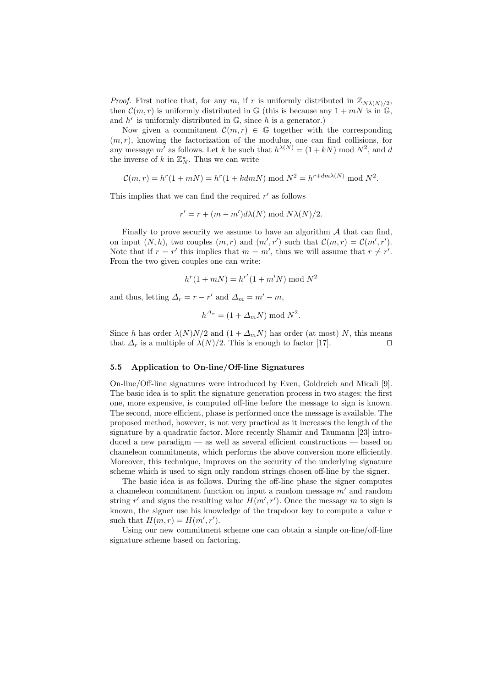*Proof.* First notice that, for any m, if r is uniformly distributed in  $\mathbb{Z}_{N\lambda(N)/2}$ , then  $\mathcal{C}(m,r)$  is uniformly distributed in G (this is because any  $1 + mN$  is in G, and  $h^r$  is uniformly distributed in  $\mathbb{G}$ , since h is a generator.)

Now given a commitment  $\mathcal{C}(m,r) \in \mathbb{G}$  together with the corresponding  $(m, r)$ , knowing the factorization of the modulus, one can find collisions, for any message m' as follows. Let k be such that  $h^{\lambda(N)} = (1 + kN) \text{ mod } N^2$ , and d the inverse of k in  $\mathbb{Z}_N^*$ . Thus we can write

$$
\mathcal{C}(m,r) = h^r(1 + mN) = h^r(1 + kdmN) \text{ mod } N^2 = h^{r + dm\lambda(N)} \text{ mod } N^2.
$$

This implies that we can find the required  $r'$  as follows

$$
r' = r + (m - m')d\lambda(N) \bmod N\lambda(N)/2.
$$

Finally to prove security we assume to have an algorithm  $A$  that can find, on input  $(N, h)$ , two couples  $(m, r)$  and  $(m', r')$  such that  $\mathcal{C}(m, r) = \mathcal{C}(m', r')$ . Note that if  $r = r'$  this implies that  $m = m'$ , thus we will assume that  $r \neq r'$ . From the two given couples one can write:

$$
h^{r}(1 + mN) = h^{r'}(1 + m'N) \bmod N^{2}
$$

and thus, letting  $\Delta_r = r - r'$  and  $\Delta_m = m' - m$ ,

$$
h^{\Delta_r} = (1 + \Delta_m N) \bmod N^2.
$$

Since h has order  $\lambda(N)N/2$  and  $(1 + \Delta_m N)$  has order (at most) N, this means that  $\Delta_r$  is a multiple of  $\lambda(N)/2$ . This is enough to factor [17].

#### 5.5 Application to On-line/Off-line Signatures

On-line/Off-line signatures were introduced by Even, Goldreich and Micali [9]. The basic idea is to split the signature generation process in two stages: the first one, more expensive, is computed off-line before the message to sign is known. The second, more efficient, phase is performed once the message is available. The proposed method, however, is not very practical as it increases the length of the signature by a quadratic factor. More recently Shamir and Taumann [23] introduced a new paradigm — as well as several efficient constructions — based on chameleon commitments, which performs the above conversion more efficiently. Moreover, this technique, improves on the security of the underlying signature scheme which is used to sign only random strings chosen off-line by the signer.

The basic idea is as follows. During the off-line phase the signer computes a chameleon commitment function on input a random message  $m'$  and random string r' and signs the resulting value  $H(m', r')$ . Once the message m to sign is known, the signer use his knowledge of the trapdoor key to compute a value r such that  $H(m,r) = H(m',r').$ 

Using our new commitment scheme one can obtain a simple on-line/off-line signature scheme based on factoring.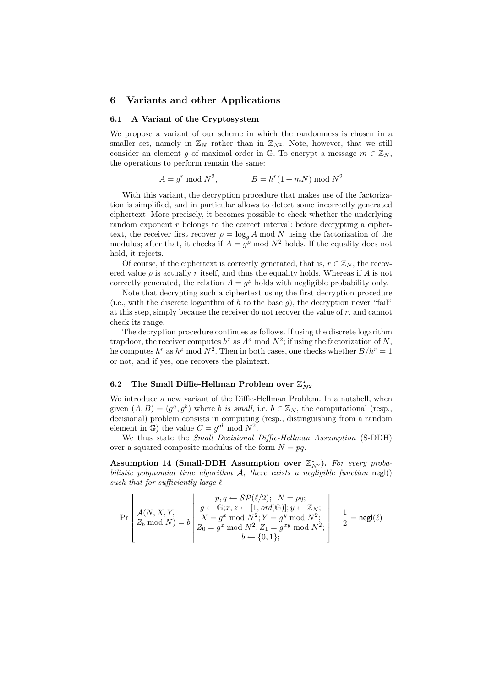## 6 Variants and other Applications

#### 6.1 A Variant of the Cryptosystem

We propose a variant of our scheme in which the randomness is chosen in a smaller set, namely in  $\mathbb{Z}_N$  rather than in  $\mathbb{Z}_{N^2}$ . Note, however, that we still consider an element g of maximal order in G. To encrypt a message  $m \in \mathbb{Z}_N$ , the operations to perform remain the same:

$$
A = g^r \bmod N^2, \qquad B = h^r(1 + mN) \bmod N^2
$$

With this variant, the decryption procedure that makes use of the factorization is simplified, and in particular allows to detect some incorrectly generated ciphertext. More precisely, it becomes possible to check whether the underlying random exponent r belongs to the correct interval: before decrypting a ciphertext, the receiver first recover  $\rho = \log_q A \mod N$  using the factorization of the modulus; after that, it checks if  $A = g^{\rho}$  mod  $N^2$  holds. If the equality does not hold, it rejects.

Of course, if the ciphertext is correctly generated, that is,  $r \in \mathbb{Z}_N$ , the recovered value  $\rho$  is actually r itself, and thus the equality holds. Whereas if A is not correctly generated, the relation  $A = g^{\rho}$  holds with negligible probability only.

Note that decrypting such a ciphertext using the first decryption procedure (i.e., with the discrete logarithm of h to the base q), the decryption never "fail" at this step, simply because the receiver do not recover the value of  $r$ , and cannot check its range.

The decryption procedure continues as follows. If using the discrete logarithm trapdoor, the receiver computes  $h^r$  as  $A^a$  mod  $N^2$ ; if using the factorization of N, he computes  $h^r$  as  $h^{\rho}$  mod  $N^2$ . Then in both cases, one checks whether  $B/h^r = 1$ or not, and if yes, one recovers the plaintext.

## 6.2 The Small Diffie-Hellman Problem over  $\mathbb{Z}_{N^2}^{\star}$

We introduce a new variant of the Diffie-Hellman Problem. In a nutshell, when given  $(A, B) = (g^a, g^b)$  where b is small, i.e.  $b \in \mathbb{Z}_N$ , the computational (resp., decisional) problem consists in computing (resp., distinguishing from a random element in  $\mathbb{G}$ ) the value  $C = g^{ab} \mod N^2$ .

We thus state the *Small Decisional Diffie-Hellman Assumption* (S-DDH) over a squared composite modulus of the form  $N = pq$ .

Assumption 14 (Small-DDH Assumption over  $\mathbb{Z}_{N^2}^*$ ). For every probabilistic polynomial time algorithm  $A$ , there exists a negligible function negl() such that for sufficiently large  $\ell$ 

$$
\Pr\left[\begin{array}{c}p,q\leftarrow \mathcal{SP}(\ell/2); \;\;N=pq;\\ \mathcal{A}(N,X,Y,\\ Z_b\bmod N)=b\end{array}\middle|\begin{array}{c}p,q\leftarrow \mathcal{SP}(\ell/2); \;\;N=pq;\\ g\leftarrow \mathbb{G}; x,z\leftarrow [1,\,ord(\mathbb{G})]; y\leftarrow \mathbb{Z}_N;\\ X=g^x\bmod N^2; Y=g^y\bmod N^2;\\ Z_0=g^z\bmod N^2; Z_1=g^xy\bmod N^2;\\ b\leftarrow \{0,1\}; \end{array}\right]-\frac{1}{2}=\mathsf{negl}(\ell)
$$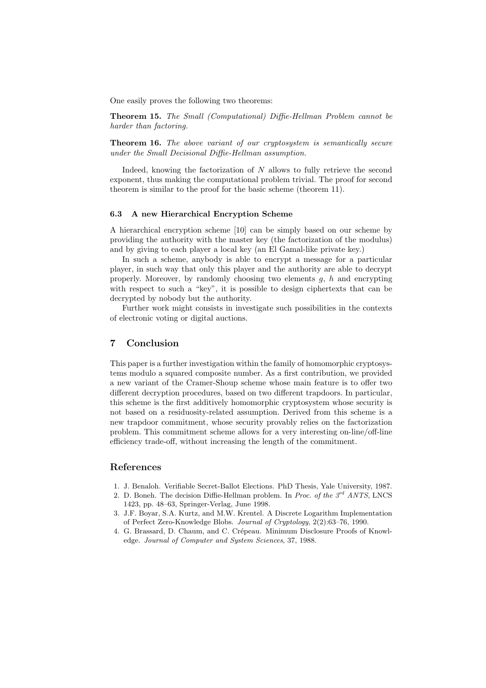One easily proves the following two theorems:

Theorem 15. The Small (Computational) Diffie-Hellman Problem cannot be harder than factoring.

Theorem 16. The above variant of our cryptosystem is semantically secure under the Small Decisional Diffie-Hellman assumption.

Indeed, knowing the factorization of  $N$  allows to fully retrieve the second exponent, thus making the computational problem trivial. The proof for second theorem is similar to the proof for the basic scheme (theorem 11).

#### 6.3 A new Hierarchical Encryption Scheme

A hierarchical encryption scheme [10] can be simply based on our scheme by providing the authority with the master key (the factorization of the modulus) and by giving to each player a local key (an El Gamal-like private key.)

In such a scheme, anybody is able to encrypt a message for a particular player, in such way that only this player and the authority are able to decrypt properly. Moreover, by randomly choosing two elements  $g$ ,  $h$  and encrypting with respect to such a "key", it is possible to design ciphertexts that can be decrypted by nobody but the authority.

Further work might consists in investigate such possibilities in the contexts of electronic voting or digital auctions.

## 7 Conclusion

This paper is a further investigation within the family of homomorphic cryptosystems modulo a squared composite number. As a first contribution, we provided a new variant of the Cramer-Shoup scheme whose main feature is to offer two different decryption procedures, based on two different trapdoors. In particular, this scheme is the first additively homomorphic cryptosystem whose security is not based on a residuosity-related assumption. Derived from this scheme is a new trapdoor commitment, whose security provably relies on the factorization problem. This commitment scheme allows for a very interesting on-line/off-line efficiency trade-off, without increasing the length of the commitment.

#### References

- 1. J. Benaloh. Verifiable Secret-Ballot Elections. PhD Thesis, Yale University, 1987.
- 2. D. Boneh. The decision Diffie-Hellman problem. In Proc. of the  $3^{rd}$  ANTS, LNCS 1423, pp. 48–63, Springer-Verlag, June 1998.
- 3. J.F. Boyar, S.A. Kurtz, and M.W. Krentel. A Discrete Logarithm Implementation of Perfect Zero-Knowledge Blobs. Journal of Cryptology, 2(2):63–76, 1990.
- 4. G. Brassard, D. Chaum, and C. Crépeau. Minimum Disclosure Proofs of Knowledge. Journal of Computer and System Sciences, 37, 1988.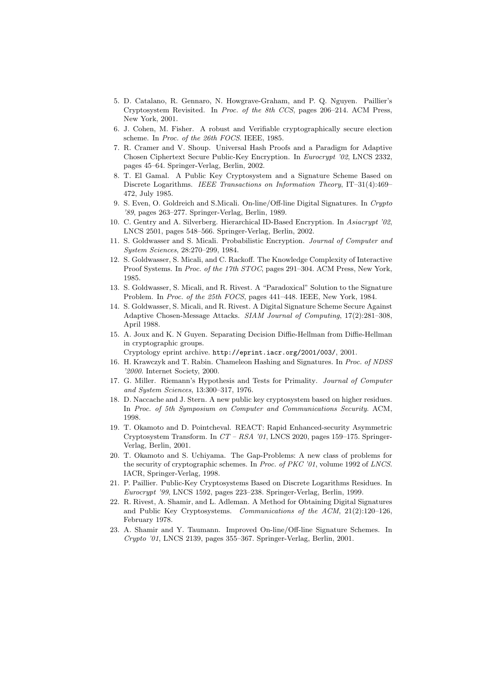- 5. D. Catalano, R. Gennaro, N. Howgrave-Graham, and P. Q. Nguyen. Paillier's Cryptosystem Revisited. In Proc. of the 8th CCS, pages 206–214. ACM Press, New York, 2001.
- 6. J. Cohen, M. Fisher. A robust and Verifiable cryptographically secure election scheme. In Proc. of the 26th FOCS. IEEE, 1985.
- 7. R. Cramer and V. Shoup. Universal Hash Proofs and a Paradigm for Adaptive Chosen Ciphertext Secure Public-Key Encryption. In Eurocrypt '02, LNCS 2332, pages 45–64. Springer-Verlag, Berlin, 2002.
- 8. T. El Gamal. A Public Key Cryptosystem and a Signature Scheme Based on Discrete Logarithms. IEEE Transactions on Information Theory, IT–31(4):469– 472, July 1985.
- 9. S. Even, O. Goldreich and S.Micali. On-line/Off-line Digital Signatures. In Crypto '89, pages 263–277. Springer-Verlag, Berlin, 1989.
- 10. C. Gentry and A. Silverberg. Hierarchical ID-Based Encryption. In Asiacrypt '02, LNCS 2501, pages 548–566. Springer-Verlag, Berlin, 2002.
- 11. S. Goldwasser and S. Micali. Probabilistic Encryption. Journal of Computer and System Sciences, 28:270–299, 1984.
- 12. S. Goldwasser, S. Micali, and C. Rackoff. The Knowledge Complexity of Interactive Proof Systems. In Proc. of the 17th STOC, pages 291-304. ACM Press, New York, 1985.
- 13. S. Goldwasser, S. Micali, and R. Rivest. A "Paradoxical" Solution to the Signature Problem. In Proc. of the 25th FOCS, pages 441–448. IEEE, New York, 1984.
- 14. S. Goldwasser, S. Micali, and R. Rivest. A Digital Signature Scheme Secure Against Adaptive Chosen-Message Attacks. SIAM Journal of Computing, 17(2):281–308, April 1988.
- 15. A. Joux and K. N Guyen. Separating Decision Diffie-Hellman from Diffie-Hellman in cryptographic groups.

Cryptology eprint archive. http://eprint.iacr.org/2001/003/, 2001.

- 16. H. Krawczyk and T. Rabin. Chameleon Hashing and Signatures. In Proc. of NDSS '2000. Internet Society, 2000.
- 17. G. Miller. Riemann's Hypothesis and Tests for Primality. Journal of Computer and System Sciences, 13:300–317, 1976.
- 18. D. Naccache and J. Stern. A new public key cryptosystem based on higher residues. In Proc. of 5th Symposium on Computer and Communications Security. ACM, 1998.
- 19. T. Okamoto and D. Pointcheval. REACT: Rapid Enhanced-security Asymmetric Cryptosystem Transform. In  $CT - RSA$  '01, LNCS 2020, pages 159–175. Springer-Verlag, Berlin, 2001.
- 20. T. Okamoto and S. Uchiyama. The Gap-Problems: A new class of problems for the security of cryptographic schemes. In *Proc. of PKC* '01, volume 1992 of *LNCS*. IACR, Springer-Verlag, 1998.
- 21. P. Paillier. Public-Key Cryptosystems Based on Discrete Logarithms Residues. In Eurocrypt '99, LNCS 1592, pages 223–238. Springer-Verlag, Berlin, 1999.
- 22. R. Rivest, A. Shamir, and L. Adleman. A Method for Obtaining Digital Signatures and Public Key Cryptosystems. Communications of the ACM, 21(2):120–126, February 1978.
- 23. A. Shamir and Y. Taumann. Improved On-line/Off-line Signature Schemes. In Crypto '01, LNCS 2139, pages 355–367. Springer-Verlag, Berlin, 2001.